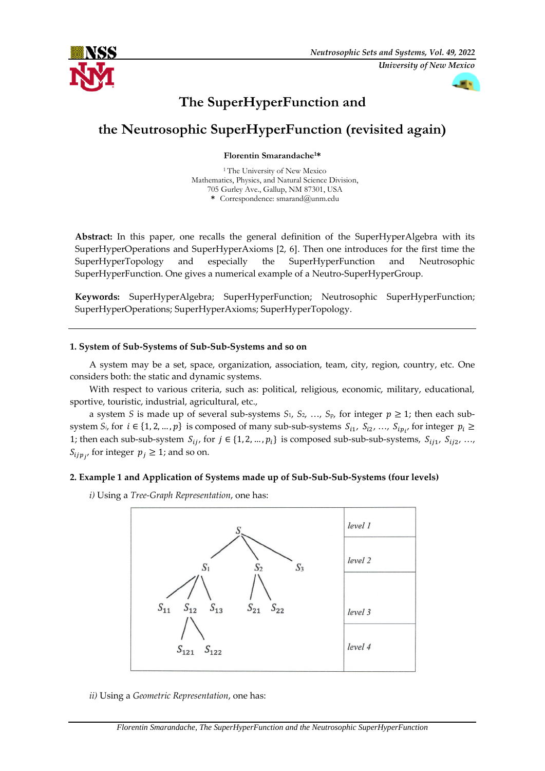

# **The SuperHyperFunction and**

# **the Neutrosophic SuperHyperFunction (revisited again)**

**Florentin Smarandache1\***

<sup>1</sup> The University of New Mexico Mathematics, Physics, and Natural Science Division, 705 Gurley Ave., Gallup, NM 87301, USA **\*** Correspondence: smarand@unm.edu

**Abstract:** In this paper, one recalls the general definition of the SuperHyperAlgebra with its SuperHyperOperations and SuperHyperAxioms [2, 6]. Then one introduces for the first time the SuperHyperTopology and especially the SuperHyperFunction and Neutrosophic SuperHyperFunction. One gives a numerical example of a Neutro-SuperHyperGroup.

**Keywords:** SuperHyperAlgebra; SuperHyperFunction; Neutrosophic SuperHyperFunction; SuperHyperOperations; SuperHyperAxioms; SuperHyperTopology.

## **1. System of Sub-Systems of Sub-Sub-Systems and so on**

A system may be a set, space, organization, association, team, city, region, country, etc. One considers both: the static and dynamic systems.

With respect to various criteria, such as: political, religious, economic, military, educational, sportive, touristic, industrial, agricultural, etc.,

a system *S* is made up of several sub-systems  $S_1$ ,  $S_2$ , ...,  $S_p$ , for integer  $p \ge 1$ ; then each subsystem  $S_i$ , for  $i \in \{1, 2, ..., p\}$  is composed of many sub-sub-systems  $S_{i1}, S_{i2}, ..., S_{ip_{i'}}$  for integer  $p_i \ge$ 1; then each sub-sub-system  $S_{ij}$ , for  $j \in \{1, 2, ..., p_i\}$  is composed sub-sub-sub-systems,  $S_{ij1}$ ,  $S_{ij2}$ , ...,  $S_{ijp_j}$ , for integer  $p_j \geq 1$ ; and so on.

# **2. Example 1 and Application of Systems made up of Sub-Sub-Sub-Systems (four levels)**

*i)* Using a *Tree-Graph Representation*, one has:



*ii)* Using a *Geometric Representation*, one has: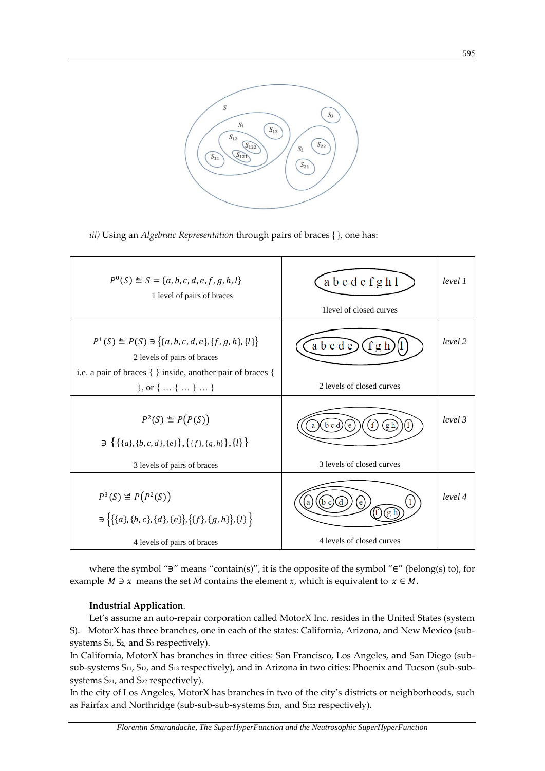

*iii)* Using an *Algebraic Representation* through pairs of braces { }, one has:

| $P^0(S) \stackrel{\text{def}}{=} S = \{a, b, c, d, e, f, g, h, l\}$<br>1 level of pairs of braces                                                                                                                       | abcdefghl<br>1 level of closed curves          | level 1 |
|-------------------------------------------------------------------------------------------------------------------------------------------------------------------------------------------------------------------------|------------------------------------------------|---------|
| $P^1(S) \stackrel{\text{def}}{=} P(S) \ni \{ \{a, b, c, d, e\}, \{f, g, h\}, \{l\} \}$<br>2 levels of pairs of braces<br>i.e. a pair of braces { } inside, another pair of braces {<br>$\}$ , or $\{ \dots \} \dots \}$ | abcde<br>2 levels of closed curves             | level 2 |
| $P^2(S) \stackrel{\text{\tiny def}}{=} P(P(S))$<br>$\exists \{ \{ \{a\}, \{b,c,d\}, \{e\} \}, \{ \{f\}, \{g,h\} \}, \{l\} \}$<br>3 levels of pairs of braces                                                            | f<br>b c d<br>g h<br>3 levels of closed curves | level 3 |
| $P^3(S) \stackrel{\text{def}}{=} P(P^2(S))$<br>$\exists \{ \{ \{a\}, \{b,c\}, \{d\}, \{e\} \}, \{ \{f\}, \{g,h\} \}, \{l\} \}$<br>4 levels of pairs of braces                                                           | e<br>а<br>4 levels of closed curves            | level 4 |

where the symbol "∋" means "contain(s)", it is the opposite of the symbol "∈" (belong(s) to), for example  $M \ni x$  means the set  $M$  contains the element  $x$ , which is equivalent to  $x \in M$ .

## **Industrial Application**.

Let's assume an auto-repair corporation called MotorX Inc. resides in the United States (system S). MotorX has three branches, one in each of the states: California, Arizona, and New Mexico (subsystems S1, S2, and S<sup>3</sup> respectively).

In California, MotorX has branches in three cities: San Francisco, Los Angeles, and San Diego (subsub-systems S<sub>11</sub>, S<sub>12</sub>, and S<sub>13</sub> respectively), and in Arizona in two cities: Phoenix and Tucson (sub-subsystems S<sub>21</sub>, and S<sub>22</sub> respectively).

In the city of Los Angeles, MotorX has branches in two of the city's districts or neighborhoods, such as Fairfax and Northridge (sub-sub-sub-systems S121, and S<sup>122</sup> respectively).

595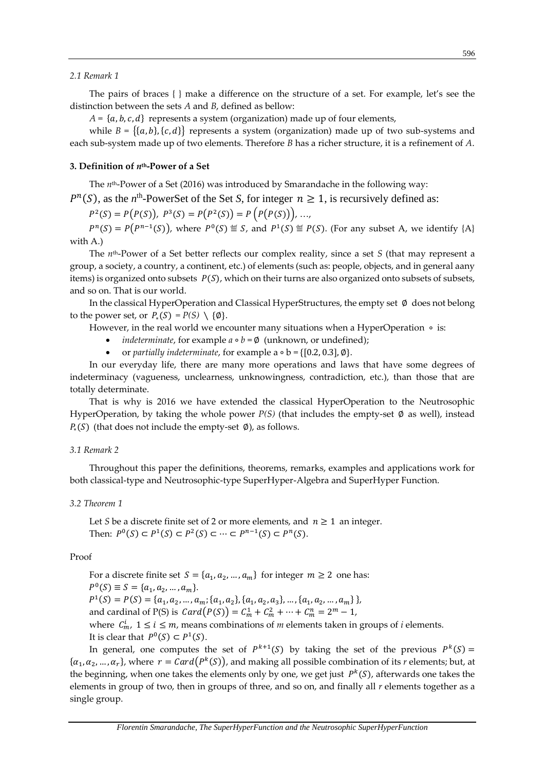#### *2.1 Remark 1*

The pairs of braces { } make a difference on the structure of a set. For example, let's see the distinction between the sets *A* and *B*, defined as bellow:

 $A = \{a, b, c, d\}$  represents a system (organization) made up of four elements,

while  $B = \{\{a, b\}, \{c, d\}\}\$  represents a system (organization) made up of two sub-systems and each sub-system made up of two elements. Therefore *B* has a richer structure, it is a refinement of *A*.

#### **3. Definition of** *n***th-Power of a Set**

The *n*th-Power of a Set (2016) was introduced by Smarandache in the following way:

 $P^{n}(S)$ , as the *n*<sup>th</sup>-PowerSet of the Set *S*, for integer  $n \ge 1$ , is recursively defined as:

 $P^2(S) = P(P(S)), P^3(S) = P(P^2(S)) = P(P(P(S))), ...,$ 

 $P^{n}(S) = P(P^{n-1}(S))$ , where  $P^{0}(S) \stackrel{\text{def}}{=} S$ , and  $P^{1}(S) \stackrel{\text{def}}{=} P(S)$ . (For any subset A, we identify {A} with A.)

The *n*th-Power of a Set better reflects our complex reality, since a set *S* (that may represent a group, a society, a country, a continent, etc.) of elements (such as: people, objects, and in general aany items) is organized onto subsets  $P(S)$ , which on their turns are also organized onto subsets of subsets, and so on. That is our world.

In the classical HyperOperation and Classical HyperStructures, the empty set ∅ does not belong to the power set, or  $P_*(S) = P(S) \setminus \{\emptyset\}.$ 

However, in the real world we encounter many situations when a HyperOperation ∘ is:

- *indeterminate*, for example  $a \circ b = \emptyset$  (unknown, or undefined);
- or *partially indeterminate*, for example a ∘ b = {[0.2, 0.3], ∅}.

In our everyday life, there are many more operations and laws that have some degrees of indeterminacy (vagueness, unclearness, unknowingness, contradiction, etc.), than those that are totally determinate.

That is why is 2016 we have extended the classical HyperOperation to the Neutrosophic HyperOperation, by taking the whole power *P(S)* (that includes the empty-set ∅ as well), instead  $P_*(S)$  (that does not include the empty-set  $\emptyset$ ), as follows.

#### *3.1 Remark 2*

Throughout this paper the definitions, theorems, remarks, examples and applications work for both classical-type and Neutrosophic-type SuperHyper-Algebra and SuperHyper Function.

#### *3.2 Theorem 1*

Let *S* be a discrete finite set of 2 or more elements, and  $n \ge 1$  an integer. Then:  $P^0(S) \subset P^1(S) \subset P^2(S) \subset \cdots \subset P^{n-1}(S) \subset P^n(S)$ .

#### Proof

For a discrete finite set  $S = \{a_1, a_2, ..., a_m\}$  for integer  $m \ge 2$  one has:  $P^{0}(S) \equiv S = \{a_1, a_2, ..., a_m\}.$  $P^1(S) = P(S) = \{a_1, a_2, ..., a_m; \{a_1, a_2\}, \{a_1, a_2, a_3\}, ..., \{a_1, a_2, ..., a_m\}\},$ and cardinal of P(S) is  $Card(P(S)) = C_m^1 + C_m^2 + \cdots + C_m^n = 2^m - 1$ , where  $C_m^i$ ,  $1 \le i \le m$ , means combinations of *m* elements taken in groups of *i* elements. It is clear that  $P^0(S) \subset P^1(S)$ .

In general, one computes the set of  $P^{k+1}(S)$  by taking the set of the previous  $P^{k}(S)$  =  $\{\alpha_1,\alpha_2,...,\alpha_r\}$ , where  $\ r=Card\big(P^k(\mathcal{S})\big)$ , and making all possible combination of its  $r$  elements; but, at the beginning, when one takes the elements only by one, we get just  $P^k(S)$ , afterwards one takes the elements in group of two, then in groups of three, and so on, and finally all *r* elements together as a single group.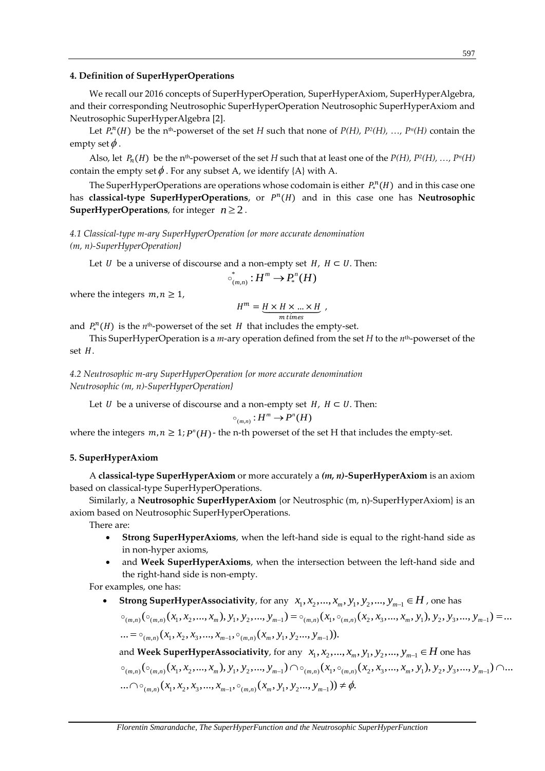#### **4. Definition of SuperHyperOperations**

We recall our 2016 concepts of SuperHyperOperation, SuperHyperAxiom, SuperHyperAlgebra, and their corresponding Neutrosophic SuperHyperOperation Neutrosophic SuperHyperAxiom and Neutrosophic SuperHyperAlgebra [2].

Let  $P_*^n(H)$  be the n<sup>th</sup>-powerset of the set *H* such that none of *P(H), P<sup>2</sup>(H), ..., P<sup>n</sup>(H)* contain the empty set  $\phi$  .

Also, let  $P_n(H)$  be the n<sup>th</sup>-powerset of the set *H* such that at least one of the  $P(H)$ ,  $P^2(H)$ , ...,  $P^n(H)$ contain the empty set  $\phi$  . For any subset A, we identify {A} with A.

The SuperHyperOperations are operations whose codomain is either  $P_*^n(H)$  and in this case one has **classical-type SuperHyperOperations**, or  $P^n(H)$  and in this case one has Neutrosophic **SuperHyperOperations**, for integer  $n \geq 2$ .

*4.1 Classical-type m-ary SuperHyperOperation {or more accurate denomination (m, n)-SuperHyperOperation}*

Let  $U$  be a universe of discourse and a non-empty set  $H$ ,  $H \subset U$ . Then:

$$
\circ_{(m,n)}^* : H^m \to P_*^n(H)
$$

where the integers  $m, n \geq 1$ ,

$$
H^m = \underbrace{H \times H \times \ldots \times H}_{m \; times} \; ,
$$

and  $P_*^n(H)$  is the  $n<sup>th</sup>$ -powerset of the set  $H$  that includes the empty-set.

This SuperHyperOperation is a *m*-ary operation defined from the set *H* to the *n*th-powerset of the set  $H$ .

*4.2 Neutrosophic m-ary SuperHyperOperation {or more accurate denomination Neutrosophic (m, n)-SuperHyperOperation}*

Let *U* be a universe of discourse and a non-empty set  $H$ ,  $H \subset U$ . Then:

$$
\circ_{_{(m,n)}}:H^m\to P^n(H)
$$

where the integers  $m, n \geq 1$ ;  $P^n(H)$  - the n-th powerset of the set H that includes the empty-set.

#### **5. SuperHyperAxiom**

A **classical-type SuperHyperAxiom** or more accurately a *(m, n)-***SuperHyperAxiom** is an axiom based on classical-type SuperHyperOperations.

Similarly, a **Neutrosophic SuperHyperAxiom** {or Neutrosphic (m, n)-SuperHyperAxiom} is an axiom based on Neutrosophic SuperHyperOperations.

There are:

- **Strong SuperHyperAxioms**, when the left-hand side is equal to the right-hand side as in non-hyper axioms,
- and **Week SuperHyperAxioms**, when the intersection between the left-hand side and the right-hand side is non-empty.

For examples, one has:

● Strong SuperHyperAssociativity, for any  $x_1, x_2, ..., x_m, y_1, y_2, ..., y_{m-1} \in H$  , one has  $\mathcal{L}_{(m,n)}(\circ_{(m,n)}(\overline{x}_1,\overline{x}_2,...,\overline{x}_m),\overline{y}_1,\overline{y}_2,...,\overline{y}_{m-1})=\circ_{(m,n)}(\overline{x}_1,\circ_{(m,n)}(\overline{x}_2,\overline{x}_3,...,\overline{x}_m,\overline{y}_1),\overline{y}_2,\overline{y}_3,...,\overline{y}_{m-1})=...$ ... =  $\circ_{(m,n)}(x_1, x_2, x_3, ..., x_{m-1}, \circ_{(m,n)}(x_m, y_1, y_2, ..., y_{m-1})).$ 

and  $\textbf{Week SuperHyperAssociativity}$ , for any  $\ x_1, x_2, ..., x_m, y_1, y_2, ..., y_{m-1} \in H$  one has  $_{(m,n)}( \circ_{(m,n)}(x_1,x_2,...,x_m), y_1,y_2,...,y_{m-1}) \cap \circ_{(m,n)}(x_1,\circ_{(m,n)}(x_2,x_3,...,x_m,y_1), y_2,y_3,...,y_{m-1}) \cap...$ ...  $\bigcap \circ_{(m,n)} (x_1, x_2, x_3, \ldots, x_{m-1}, \circ_{(m,n)} (x_m, y_1, y_2, \ldots, y_{m-1})) \neq \emptyset.$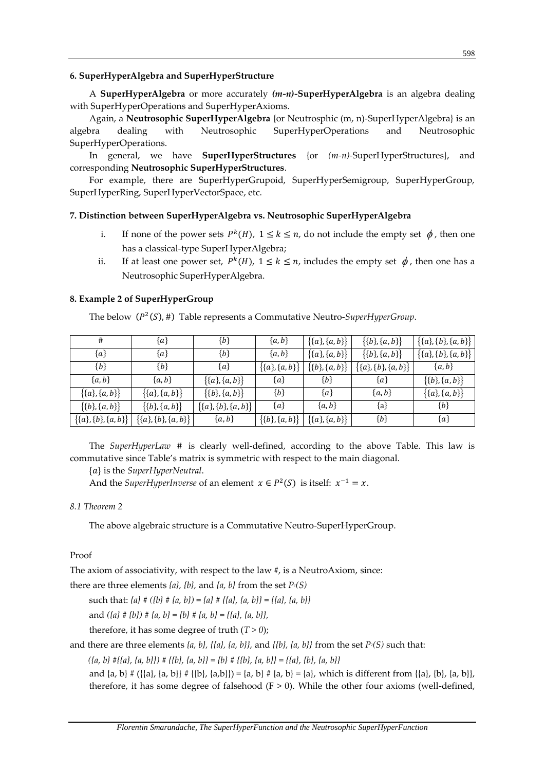## **6. SuperHyperAlgebra and SuperHyperStructure**

A **SuperHyperAlgebra** or more accurately *(m-n)-***SuperHyperAlgebra** is an algebra dealing with SuperHyperOperations and SuperHyperAxioms.

Again, a **Neutrosophic SuperHyperAlgebra** {or Neutrosphic (m, n)-SuperHyperAlgebra} is an algebra dealing with Neutrosophic SuperHyperOperations and Neutrosophic SuperHyperOperations.

In general, we have **SuperHyperStructures** {or *(m-n)-*SuperHyperStructures}, and corresponding **Neutrosophic SuperHyperStructures**.

For example, there are SuperHyperGrupoid, SuperHyperSemigroup, SuperHyperGroup, SuperHyperRing, SuperHyperVectorSpace, etc.

# **7. Distinction between SuperHyperAlgebra vs. Neutrosophic SuperHyperAlgebra**

- i. If none of the power sets  $P^k(H)$ ,  $1 \le k \le n$ , do not include the empty set  $\phi$ , then one has a classical-type SuperHyperAlgebra;
- ii. If at least one power set,  $P^k(H)$ ,  $1 \le k \le n$ , includes the empty set  $\phi$ , then one has a Neutrosophic SuperHyperAlgebra.

# **8. Example 2 of SuperHyperGroup**

The below ( $P<sup>2</sup>(S)$ , #) Table represents a Commutative Neutro-*SuperHyperGroup*.

| #                              | $\{a\}$                   | ${b}$                     | ${a,b}$                 | $\{(a), \{a, b\}\}\$    | $\{ \{b\}, \{a, b\} \}$   | $\{ \{a\}, \{b\}, \{a, b\} \}$ |
|--------------------------------|---------------------------|---------------------------|-------------------------|-------------------------|---------------------------|--------------------------------|
| {a}                            | $\{a\}$                   | ${b}$                     | ${a,b}$                 | $\{ \{a\}, \{a, b\} \}$ | $\{ \{b\}, \{a, b\} \}$   | $\{ \{a\}, \{b\}, \{a, b\} \}$ |
| ${b}$                          | ${b}$                     | ${a}$                     | $\{ \{a\}, \{a, b\} \}$ | $\{\{b\},\{a,b\}\}\$    | $\{(a\},\{b\},\{a,b\}\}\$ | ${a,b}$                        |
| ${a,b}$                        | ${a,b}$                   | $\{ \{a\}, \{a, b\} \}$   | ${a}$                   | ${b}$                   | ${a}$                     | $\{ \{b\}, \{a, b\} \}$        |
| $\{ \{a\}, \{a, b\} \}$        | $\{ \{a\}, \{a, b\} \}$   | $\{ \{b\}, \{a, b\} \}$   | ${b}$                   | ${a}$                   | ${a,b}$                   | $\{ \{a\}, \{a, b\} \}$        |
| $\{ \{b\}, \{a, b\} \}$        | $\{ \{b\}, \{a, b\} \}$   | $\{(a\},\{b\},\{a,b\}\}\$ | ${a}$                   | ${a,b}$                 | ${a}$                     | ${b}$                          |
| $\{ \{a\}, \{b\}, \{a, b\} \}$ | $\{(a\},\{b\},\{a,b\}\}\$ | ${a,b}$                   | $\{ \{b\}, \{a, b\} \}$ | $\{ \{a\}, \{a, b\} \}$ | ${b}$                     | ${a}$                          |

The *SuperHyperLaw* # is clearly well-defined, according to the above Table. This law is commutative since Table's matrix is symmetric with respect to the main diagonal.

{} is the *SuperHyperNeutral*.

And the *SuperHyperInverse* of an element  $x \in P^2(S)$  is itself:  $x^{-1} = x$ .

## *8.1 Theorem 2*

The above algebraic structure is a Commutative Neutro-SuperHyperGroup.

# Proof

The axiom of associativity, with respect to the law #, is a NeutroAxiom, since:

there are three elements *{a}, {b},* and *{a, b}* from the set *P2(S)*

such that:  ${a}$  #  $({b}$  #  ${a}$ ,  ${b}$ ) =  ${a}$  #  $({a}$ ,  ${a}$ ,  ${b}$ } =  $({a}$ ,  ${a}$ ,  ${b}$ }

and *({a} # {b}) # {a, b} = {b} # {a, b} = {{a}, {a, b}},*

therefore, it has some degree of truth  $(T > 0)$ ;

and there are three elements *{a, b}, {{a}, {a, b}},* and *{{b}, {a, b}}* from the set *P2(S)* such that:

*({a, b} #{{a}, {a, b}}) # {{b}, {a, b}} = {b} # {{b}, {a, b}} = {{a}, {b}, {a, b}}*

and  $\{a, b\} \# (\{\{a\}, \{a, b\}\} \# \{\{b\}, \{a, b\}\}) = \{a, b\} \# \{a, b\} = \{a\}$ , which is different from  $\{\{a\}, \{b\}, \{a, b\}\}$ , therefore, it has some degree of falsehood  $(F > 0)$ . While the other four axioms (well-defined,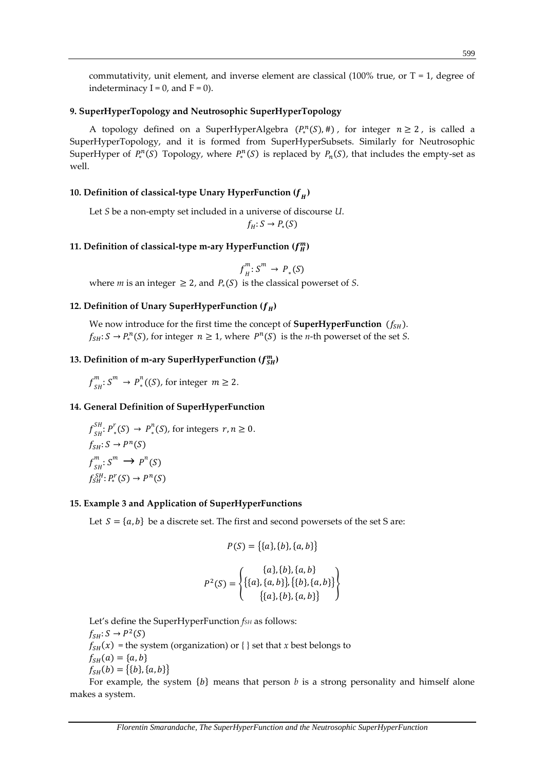commutativity, unit element, and inverse element are classical  $(100\%$  true, or T = 1, degree of indeterminacy  $I = 0$ , and  $F = 0$ ).

# **9. SuperHyperTopology and Neutrosophic SuperHyperTopology**

A topology defined on a SuperHyperAlgebra  $(P_*^n(S), \#)$ , for integer  $n \ge 2$ , is called a SuperHyperTopology, and it is formed from SuperHyperSubsets. Similarly for Neutrosophic SuperHyper of  $P_*^n(S)$  Topology, where  $P_*^n(S)$  is replaced by  $P_n(S)$ , that includes the empty-set as well.

# **10. Definition of classical-type Unary HyperFunction ( )**

Let *S* be a non-empty set included in a universe of discourse *U*.

 $f_H: S \to P_*(S)$ 

# 11. Definition of classical-type m-ary HyperFunction  $(f_H^m)$

$$
f^m_H: S^m \to P_*(S)
$$

where *m* is an integer  $\geq 2$ , and  $P_*(S)$  is the classical powerset of *S*.

## **12. Definition of Unary SuperHyperFunction**  $(f_H)$

We now introduce for the first time the concept of **SuperHyperFunction**  $(f_{SH})$ .  $f_{SH}: S \to P_*^n(S)$ , for integer  $n \geq 1$ , where  $P^n(S)$  is the *n*-th powerset of the set *S*.

# 13. Definition of m-ary SuperHyperFunction  $(f_{SH}^m)$

$$
f_{SH}^m
$$
:  $S^m \to P_*^n((S))$ , for integer  $m \ge 2$ .

### **14. General Definition of SuperHyperFunction**

$$
f_{SH}^{SH}: P_*^r(S) \to P_*^n(S)
$$
, for integers  $r, n \ge 0$ .  
\n
$$
f_{SH}: S \to P^n(S)
$$
  
\n
$$
f_{SH}^m: S^m \to P^n(S)
$$
  
\n
$$
f_{SH}^{SH}: P_*^r(S) \to P^n(S)
$$

#### **15. Example 3 and Application of SuperHyperFunctions**

Let  $S = \{a, b\}$  be a discrete set. The first and second powersets of the set S are:

$$
P(S) = \{\{a\}, \{b\}, \{a, b\}\}\
$$

$$
P^{2}(S) = \left\{ \begin{matrix} \{a\}, \{b\}, \{a, b\} \\ \{\{a\}, \{a, b\}\}, \{\{b\}, \{a, b\}\} \\ \{\{a\}, \{b\}, \{a, b\}\} \end{matrix} \right\}
$$

Let's define the SuperHyperFunction *fSH* as follows:  $f_{SH}: S \to P^2(S)$  $f_{SH}(x)$  = the system (organization) or { } set that *x* best belongs to  $f_{SH}(a) = \{a, b\}$  $f_{SH}(b) = \{\{b\}, \{a, b\}\}\$ 

For example, the system  ${b}$  means that person  $b$  is a strong personality and himself alone makes a system.